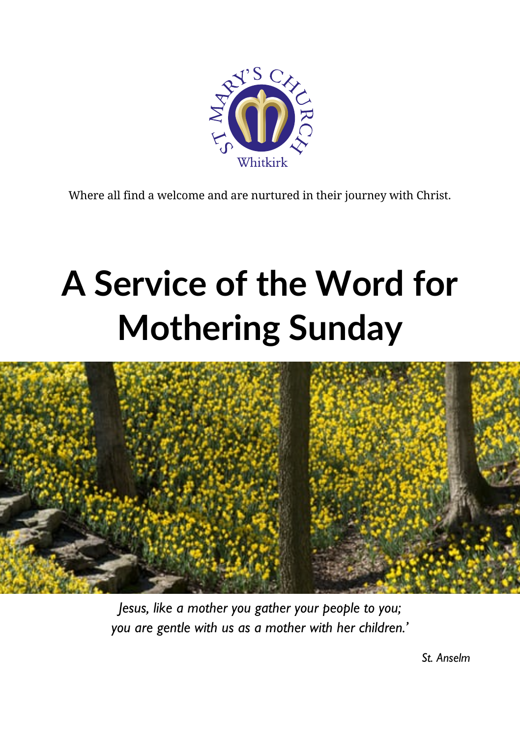

Where all find a welcome and are nurtured in their journey with Christ.

# **A Service of the Word for Mothering Sunday**



*Jesus, like a mother you gather your people to you; you are gentle with us as a mother with her children.'*

*St. Anselm*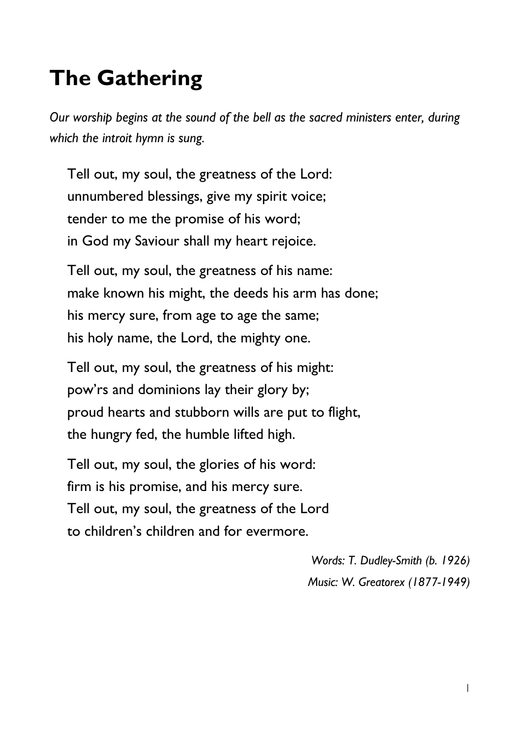## **The Gathering**

*Our worship begins at the sound of the bell as the sacred ministers enter, during which the introit hymn is sung.*

Tell out, my soul, the greatness of the Lord: unnumbered blessings, give my spirit voice; tender to me the promise of his word; in God my Saviour shall my heart rejoice.

Tell out, my soul, the greatness of his name: make known his might, the deeds his arm has done; his mercy sure, from age to age the same; his holy name, the Lord, the mighty one.

Tell out, my soul, the greatness of his might: pow'rs and dominions lay their glory by; proud hearts and stubborn wills are put to flight, the hungry fed, the humble lifted high.

Tell out, my soul, the glories of his word: firm is his promise, and his mercy sure. Tell out, my soul, the greatness of the Lord to children's children and for evermore.

> *Words: T. Dudley-Smith (b. 1926) Music: W. Greatorex (1877-1949)*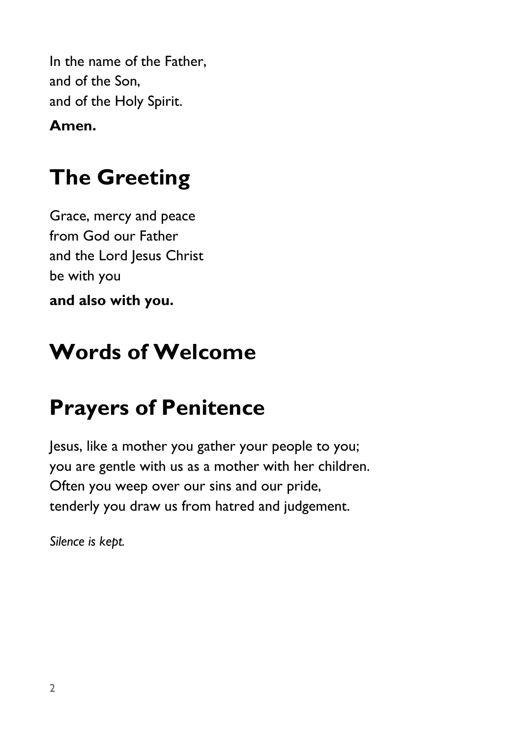In the name of the Father, and of the Son, and of the Holy Spirit.

**Amen.**

### **The Greeting**

Grace, mercy and peace from God our Father and the Lord Jesus Christ be with you **and also with you.**

### **Words of Welcome**

### **Prayers of Penitence**

Jesus, like a mother you gather your people to you; you are gentle with us as a mother with her children. Often you weep over our sins and our pride, tenderly you draw us from hatred and judgement.

*Silence is kept.*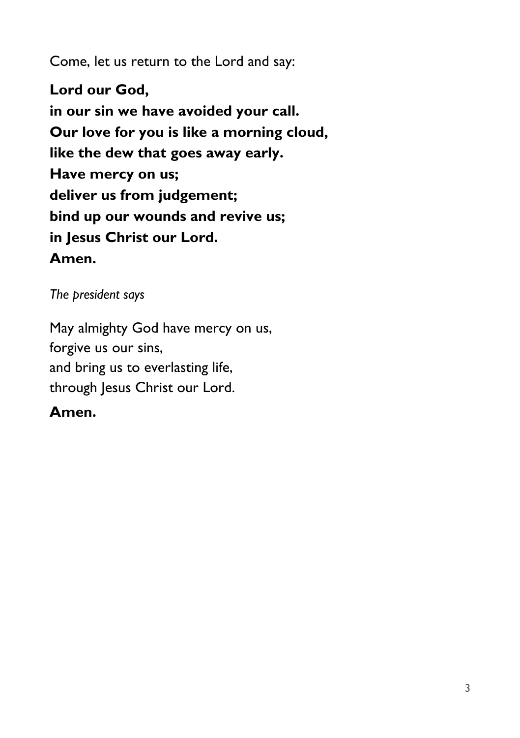Come, let us return to the Lord and say:

**Lord our God, in our sin we have avoided your call. Our love for you is like a morning cloud, like the dew that goes away early. Have mercy on us; deliver us from judgement; bind up our wounds and revive us; in Jesus Christ our Lord. Amen.**

*The president says*

May almighty God have mercy on us, forgive us our sins, and bring us to everlasting life, through Jesus Christ our Lord.

#### **Amen.**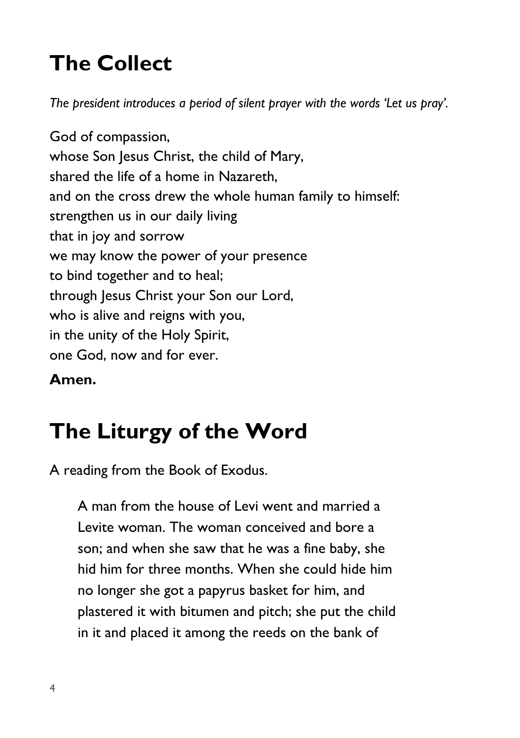# **The Collect**

*The president introduces a period of silent prayer with the words 'Let us pray'.*

God of compassion, whose Son Jesus Christ, the child of Mary, shared the life of a home in Nazareth, and on the cross drew the whole human family to himself: strengthen us in our daily living that in joy and sorrow we may know the power of your presence to bind together and to heal; through Jesus Christ your Son our Lord, who is alive and reigns with you, in the unity of the Holy Spirit, one God, now and for ever.

**Amen.**

### **The Liturgy of the Word**

A reading from the Book of Exodus.

A man from the house of Levi went and married a Levite woman. The woman conceived and bore a son; and when she saw that he was a fine baby, she hid him for three months. When she could hide him no longer she got a papyrus basket for him, and plastered it with bitumen and pitch; she put the child in it and placed it among the reeds on the bank of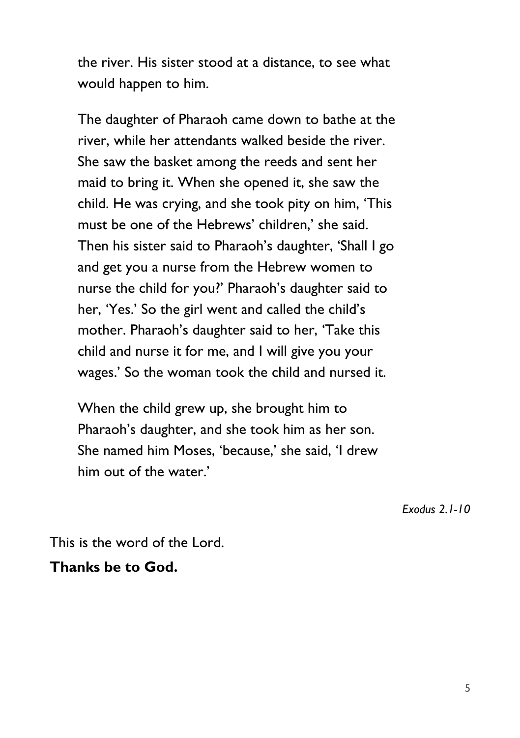the river. His sister stood at a distance, to see what would happen to him.

The daughter of Pharaoh came down to bathe at the river, while her attendants walked beside the river. She saw the basket among the reeds and sent her maid to bring it. When she opened it, she saw the child. He was crying, and she took pity on him, 'This must be one of the Hebrews' children,' she said. Then his sister said to Pharaoh's daughter, 'Shall I go and get you a nurse from the Hebrew women to nurse the child for you?' Pharaoh's daughter said to her, 'Yes.' So the girl went and called the child's mother. Pharaoh's daughter said to her, 'Take this child and nurse it for me, and I will give you your wages.' So the woman took the child and nursed it.

When the child grew up, she brought him to Pharaoh's daughter, and she took him as her son. She named him Moses, 'because,' she said, 'I drew him out of the water.'

*Exodus 2.1-10*

This is the word of the Lord. **Thanks be to God.**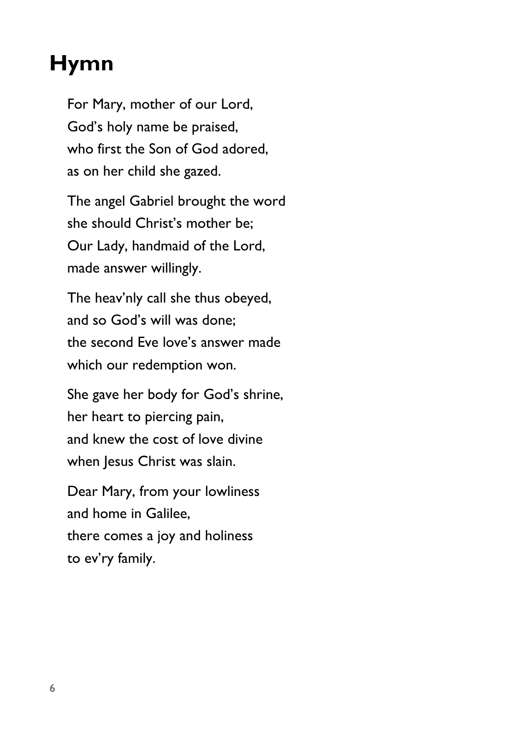### **Hymn**

For Mary, mother of our Lord, God's holy name be praised, who first the Son of God adored, as on her child she gazed.

The angel Gabriel brought the word she should Christ's mother be; Our Lady, handmaid of the Lord, made answer willingly.

The heav'nly call she thus obeyed, and so God's will was done; the second Eve love's answer made which our redemption won.

She gave her body for God's shrine, her heart to piercing pain, and knew the cost of love divine when Jesus Christ was slain.

Dear Mary, from your lowliness and home in Galilee, there comes a joy and holiness to ev'ry family.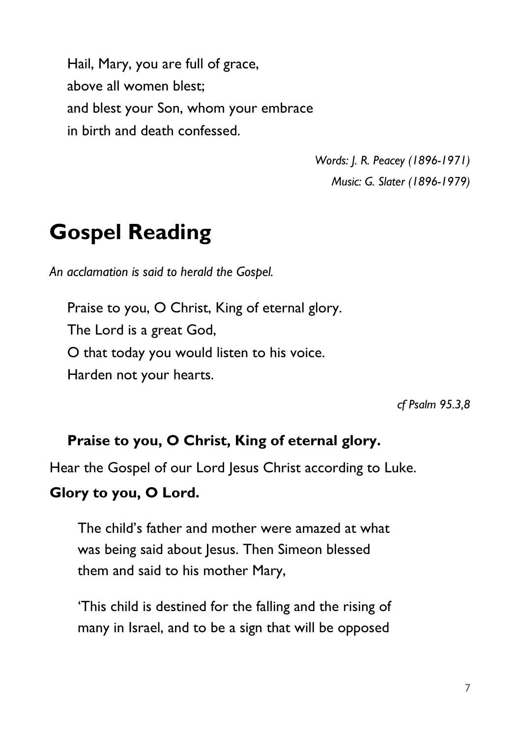Hail, Mary, you are full of grace, above all women blest; and blest your Son, whom your embrace in birth and death confessed.

> *Words: J. R. Peacey (1896-1971) Music: G. Slater (1896-1979)*

### **Gospel Reading**

*An acclamation is said to herald the Gospel.* 

Praise to you, O Christ, King of eternal glory. The Lord is a great God, O that today you would listen to his voice. Harden not your hearts.

*cf Psalm 95.3,8*

#### **Praise to you, O Christ, King of eternal glory.**

Hear the Gospel of our Lord Jesus Christ according to Luke.

#### **Glory to you, O Lord.**

The child's father and mother were amazed at what was being said about Jesus. Then Simeon blessed them and said to his mother Mary,

'This child is destined for the falling and the rising of many in Israel, and to be a sign that will be opposed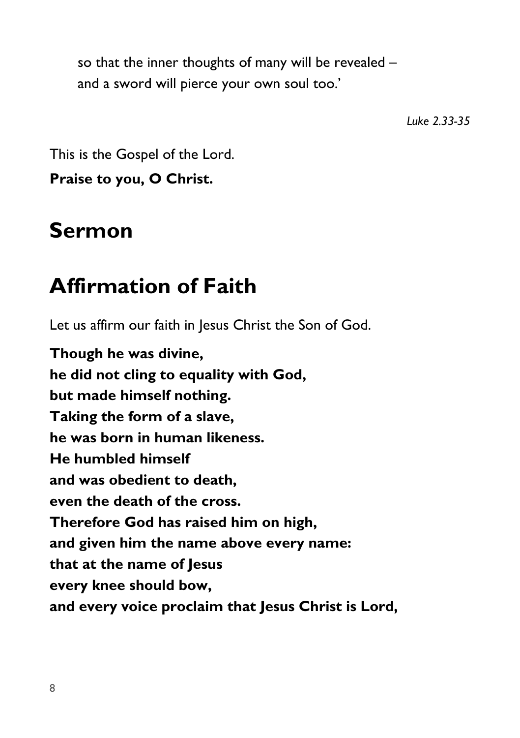so that the inner thoughts of many will be revealed – and a sword will pierce your own soul too.'

*Luke 2.33-35*

This is the Gospel of the Lord.

**Praise to you, O Christ.**

### **Sermon**

### **Affirmation of Faith**

Let us affirm our faith in Jesus Christ the Son of God.

**Though he was divine, he did not cling to equality with God, but made himself nothing. Taking the form of a slave, he was born in human likeness. He humbled himself and was obedient to death, even the death of the cross. Therefore God has raised him on high, and given him the name above every name: that at the name of Jesus every knee should bow, and every voice proclaim that Jesus Christ is Lord,**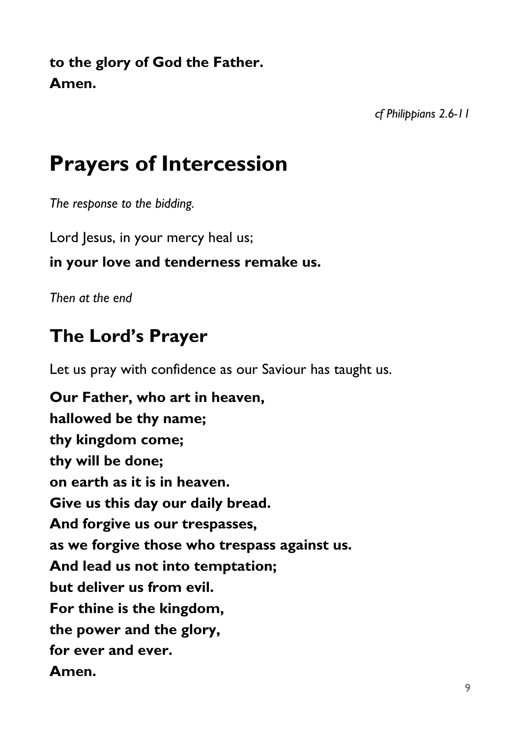**to the glory of God the Father. Amen.**

*cf Philippians 2.6-11*

### **Prayers of Intercession**

*The response to the bidding.*

Lord Jesus, in your mercy heal us;

#### **in your love and tenderness remake us.**

*Then at the end*

### **The Lord's Prayer**

Let us pray with confidence as our Saviour has taught us.

**Our Father, who art in heaven, hallowed be thy name; thy kingdom come; thy will be done; on earth as it is in heaven. Give us this day our daily bread. And forgive us our trespasses, as we forgive those who trespass against us. And lead us not into temptation; but deliver us from evil. For thine is the kingdom, the power and the glory, for ever and ever. Amen.**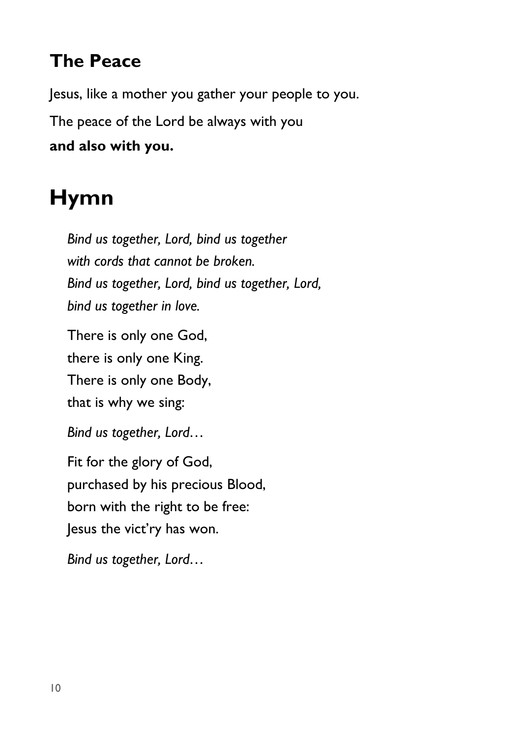### **The Peace**

Jesus, like a mother you gather your people to you. The peace of the Lord be always with you **and also with you.**

### **Hymn**

*Bind us together, Lord, bind us together with cords that cannot be broken. Bind us together, Lord, bind us together, Lord, bind us together in love.* There is only one God, there is only one King. There is only one Body, that is why we sing: *Bind us together, Lord…* Fit for the glory of God, purchased by his precious Blood, born with the right to be free: Jesus the vict'ry has won.

*Bind us together, Lord…*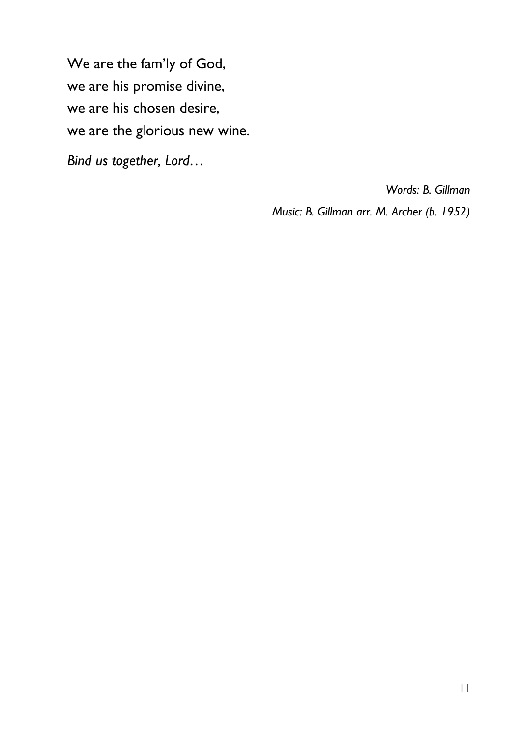We are the fam'ly of God, we are his promise divine, we are his chosen desire, we are the glorious new wine.

*Bind us together, Lord…*

*Words: B. Gillman*

*Music: B. Gillman arr. M. Archer (b. 1952)*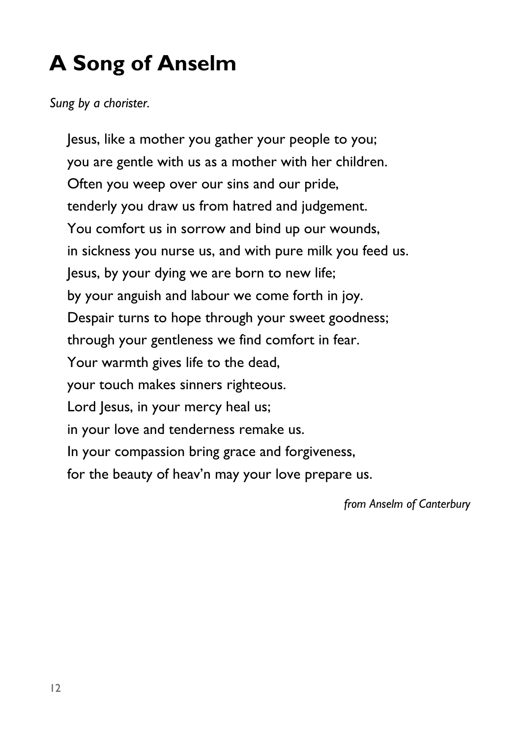## **A Song of Anselm**

*Sung by a chorister.*

Jesus, like a mother you gather your people to you; you are gentle with us as a mother with her children. Often you weep over our sins and our pride, tenderly you draw us from hatred and judgement. You comfort us in sorrow and bind up our wounds, in sickness you nurse us, and with pure milk you feed us. Jesus, by your dying we are born to new life; by your anguish and labour we come forth in joy. Despair turns to hope through your sweet goodness; through your gentleness we find comfort in fear. Your warmth gives life to the dead, your touch makes sinners righteous. Lord Jesus, in your mercy heal us; in your love and tenderness remake us. In your compassion bring grace and forgiveness, for the beauty of heav'n may your love prepare us.

*from Anselm of Canterbury*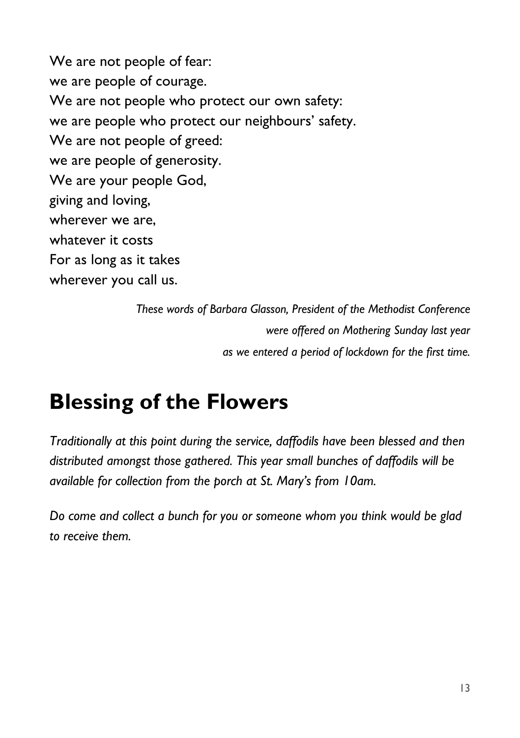We are not people of fear: we are people of courage. We are not people who protect our own safety: we are people who protect our neighbours' safety. We are not people of greed: we are people of generosity. We are your people God, giving and loving, wherever we are, whatever it costs For as long as it takes wherever you call us.

> *These words of Barbara Glasson, President of the Methodist Conference were offered on Mothering Sunday last year as we entered a period of lockdown for the first time.*

### **Blessing of the Flowers**

*Traditionally at this point during the service, daffodils have been blessed and then distributed amongst those gathered. This year small bunches of daffodils will be available for collection from the porch at St. Mary's from 10am.*

*Do come and collect a bunch for you or someone whom you think would be glad to receive them.*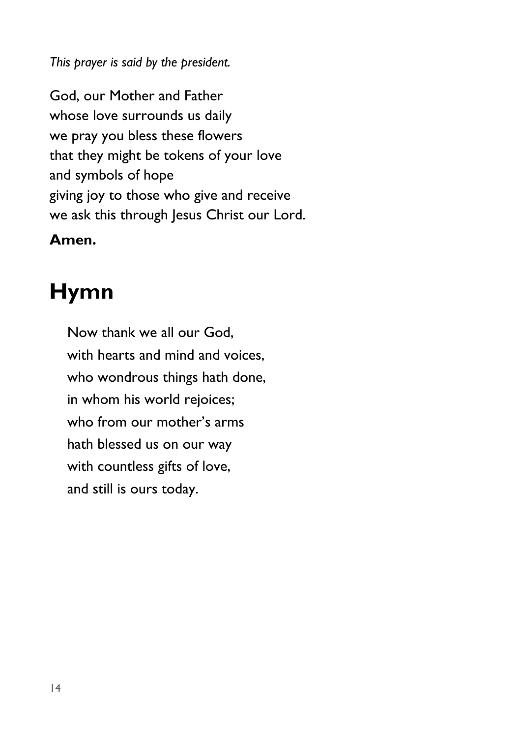*This prayer is said by the president.*

God, our Mother and Father whose love surrounds us daily we pray you bless these flowers that they might be tokens of your love and symbols of hope giving joy to those who give and receive we ask this through Jesus Christ our Lord.

**Amen.**

### **Hymn**

Now thank we all our God, with hearts and mind and voices, who wondrous things hath done, in whom his world rejoices; who from our mother's arms hath blessed us on our way with countless gifts of love, and still is ours today.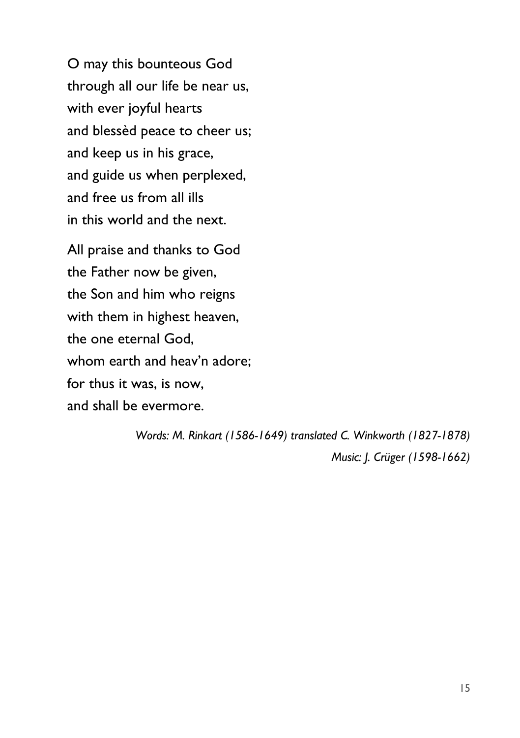O may this bounteous God through all our life be near us, with ever joyful hearts and blessèd peace to cheer us; and keep us in his grace, and guide us when perplexed, and free us from all ills in this world and the next.

All praise and thanks to God the Father now be given, the Son and him who reigns with them in highest heaven, the one eternal God, whom earth and heav'n adore; for thus it was, is now, and shall be evermore.

> *Words: M. Rinkart (1586-1649) translated C. Winkworth (1827-1878) Music: J. Crüger (1598-1662)*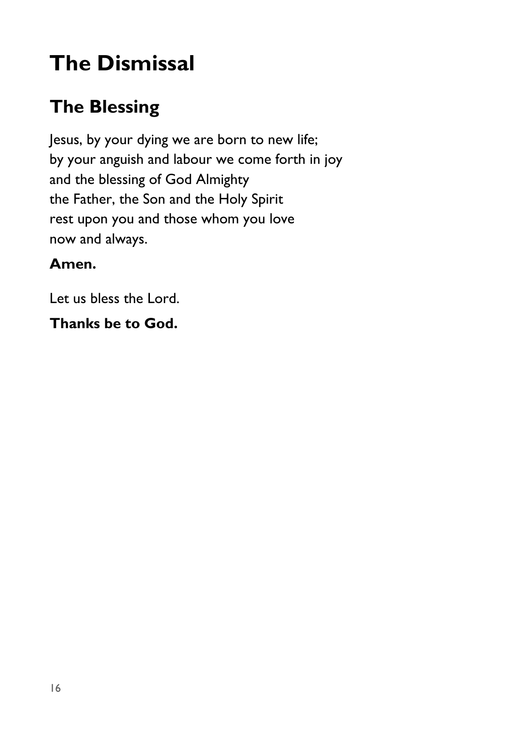# **The Dismissal**

### **The Blessing**

Jesus, by your dying we are born to new life; by your anguish and labour we come forth in joy and the blessing of God Almighty the Father, the Son and the Holy Spirit rest upon you and those whom you love now and always.

#### **Amen.**

Let us bless the Lord.

#### **Thanks be to God.**